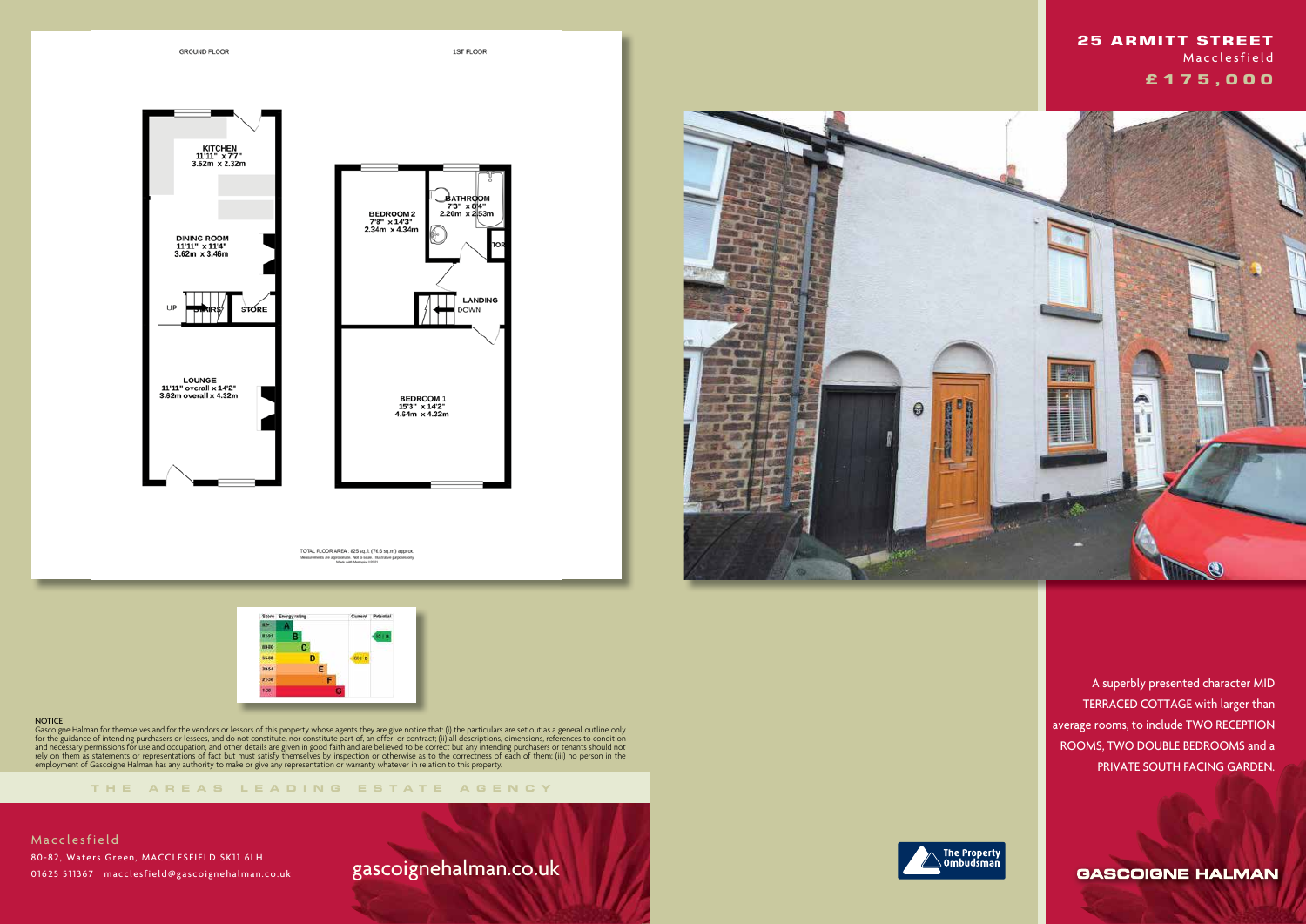**GROUND FLOOR** 

1ST FLOOR

LANDING

DOWN





TOTAL FLOOR AREA: 825 sq.ft. (76.6 sq.m.) approx pproximate. Not to scale. Hkn<br>Made with Metropix 02021



### **NOTICE**

**THE AREA S LEADING ES T A TE A G E N C Y**

Gascoigne Halman for themselves and for the vendors or lessors of this property whose agents they are give notice that: (i) the particulars are set out as a general outline only for the guidance of intending purchasers or lessees, and do not constitute, nor constitute part of, an offer or contract; (ii) all descriptions, dimensions, references to condition and necessary permissions for use and occupation, and other details are given in good faith and are believed to be correct but any intending purchasers or tenants should not rely on them as statements or representations of fact but must satisfy themselves by inspection or otherwise as to the correctness of each of them; (iii) no person in the employment of Gascoigne Halman has any authority to make or give any representation or warranty whatever in relation to this property.

# gascoignehalman.co.uk





 A superbly presented character MID TERRACED COTTAGE with larger than average rooms, to include TWO RECEPTION ROOMS, TWO DOUBLE BEDROOMS and a PRIVATE SOUTH FACING GARDEN.

**GASCOIGNE HALMAN** 

 **25 ARMITT STREET Macclesfield £ 1 7 5 , 0 0 0**